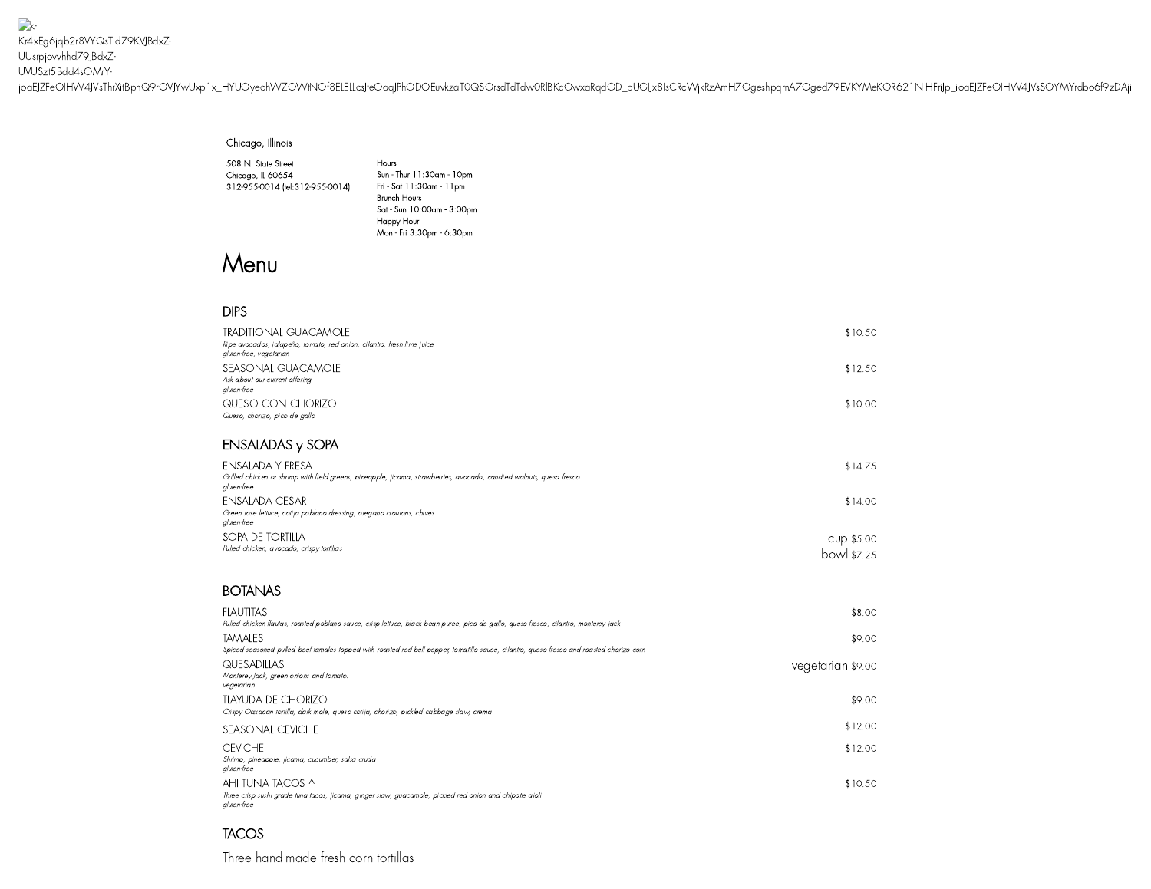$\rightarrow$ Kr4xEg6jqb2r8VYQsTjd79KVJBdxZ-UUsrpjovvhhd79JBdxZ-UVUSzt5Bdd4sOMrY[joaEJZFeOIHW4JVsThrXitBpnQ9rOVJYwUxp1x\\_HYUOyeohWZOWtNOf8ELELLcsJte](https://www.cantinalaredo.com/)OaqJPhODOEuvkzaT0QSOrsdTdTdw0RlBKcOwxaRqdOD\_bUGIJx8IsCRcWjkRzAmH7OgeshpqmA7Oged79EVKYMeKOR621NIHFriJp\_ioaEJZFeOIHW4JVsSOYMYrdbo6f9zDAji

#### Chicago, Illinois

508 N. State Street Chicago, IL 60654 312-955-0014 [\(tel:312-955-0014\)](tel:312-955-0014)

Hours Sun - Thur 11:30am -10pm Fri - Sat 11:30am -11pm Brunch Hours Sat - Sun 10:00am - 3:00pm Happy Hour Mon - Fri 3:30pm - 6:30pm

# Menu

## DIPS

| TRADITIONAL GUACAMOLE<br>Ripe avocados, jalapeño, tomato, red onion, cilantro, fresh lime juice<br>gluten-free, vegetarian | \$10.50 |
|----------------------------------------------------------------------------------------------------------------------------|---------|
| SEASONAL GUACAMOLE<br>Ask about our current offering<br>gluten-free                                                        | \$12.50 |
| QUESO CON CHORIZO<br>Queso, chorizo, pico de gallo                                                                         | \$10.00 |

## ENSALADAS y SOPA

| ENSALADA Y FRESA<br>Grilled chicken or shrimp with field greens, pineapple, jicama, strawberries, avocado, candied walnuts, queso fresco<br>gluten-free | \$14.75                   |
|---------------------------------------------------------------------------------------------------------------------------------------------------------|---------------------------|
| ENSALADA CESAR<br>Green rose lettuce, cotija poblano dressing, oregano croutons, chives<br>aluten-free                                                  | \$14.00                   |
| SOPA DE TORTILLA<br>Pulled chicken, avocado, crispy tortillas                                                                                           | CUP \$5.00<br>bowl \$7.25 |

### **BOTANAS**

| <b>FLAUTITAS</b>                                                                                                                                     | \$8.00            |
|------------------------------------------------------------------------------------------------------------------------------------------------------|-------------------|
| Pulled chicken flautas, roasted poblano sauce, crisp lettuce, black bean puree, pico de gallo, queso fresco, cilantro, monterey jack                 |                   |
| TAMALES<br>Spiced seasoned pulled beef tamales topped with roasted red bell pepper, tomatillo sauce, cilantro, queso fresco and roasted chorizo corn | \$9.00            |
|                                                                                                                                                      |                   |
| QUESADILLAS<br>Monterey Jack, green onions and tomato.<br>vegetarian                                                                                 | vegetarian \$9.00 |
| TLAYUDA DE CHORIZO<br>Crispy Oaxacan tortilla, dark mole, queso cotija, chorizo, pickled cabbage slaw, crema                                         | \$9.00            |
| SEASONAL CEVICHE                                                                                                                                     | \$12.00           |
| <b>CEVICHE</b><br>Shrimp, pineapple, jicama, cucumber, salsa cruda<br>gluten-free                                                                    | \$12.00           |
| AHI TUNA TACOS ^<br>Three crisp sushi grade tuna tacos, jicama, ginger slaw, guacamole, pickled red onion and chipotle aioli<br>gluten-free          | \$10.50           |

## **TACOS**

Three hand-made fresh corn tortillas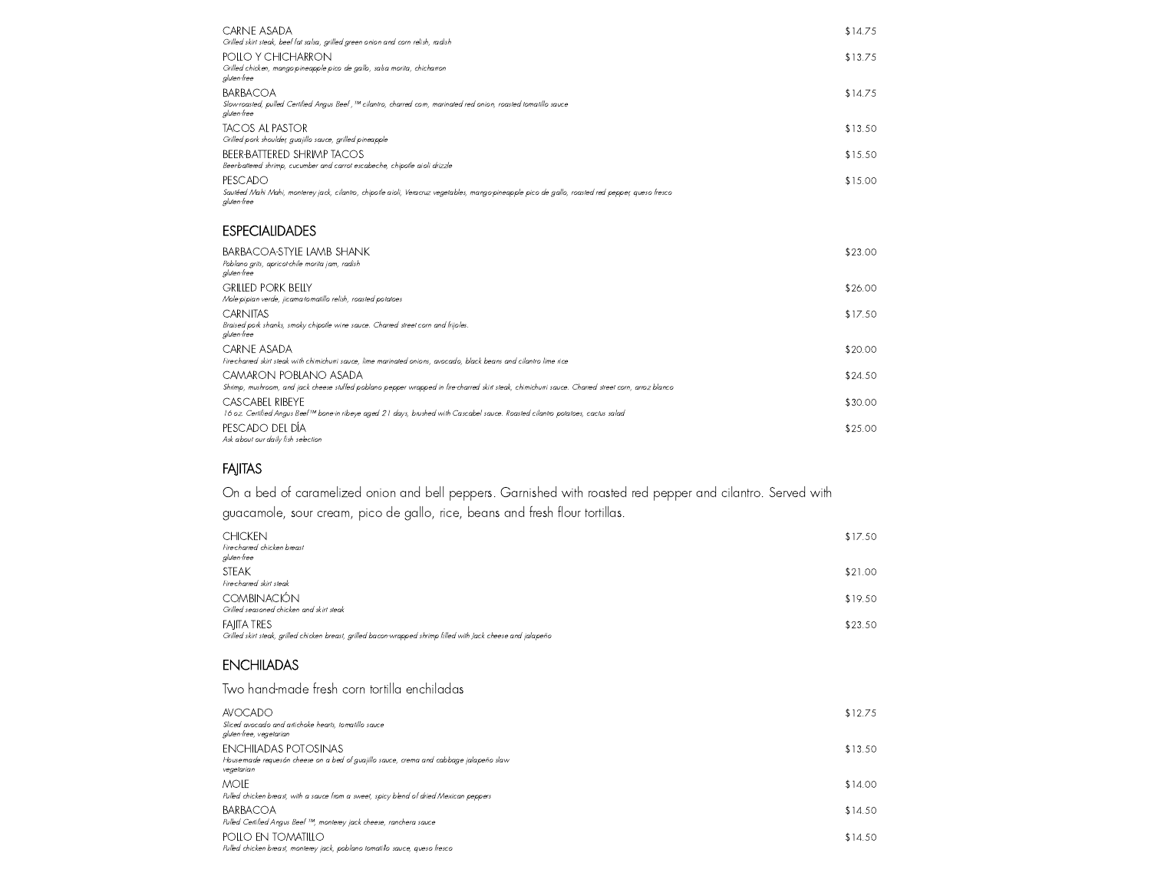| CARNE ASADA<br>Grilled skirt steak, beef fat salsa, grilled green onion and corn relish, radish                                                                            | \$14.75 |
|----------------------------------------------------------------------------------------------------------------------------------------------------------------------------|---------|
| POLLO Y CHICHARRON<br>Grilled chicken, mango-pineapple pico de gallo, salsa morita, chicharron<br>gluten-free                                                              | \$13.75 |
| <b>BARBACOA</b><br>Slow-roasted, pulled Certified Angus Beef , ™ cilantro, charred corn, marinated red onion, roasted tomatillo sauce<br>aluten-free                       | \$14.75 |
| TACOS AL PASTOR<br>Grilled pork shoulder, quajillo sauce, grilled pineapple                                                                                                | \$13.50 |
| BEER-BATTERED SHRIMP TACOS<br>Beer-battered shrimp, cucumber and carrot escabeche, chipotle aioli drizzle                                                                  | \$15.50 |
| PESCADO<br>Sautéed Mahi Mahi, monterey jack, cilantro, chipotle aioli, Veracruz vegetables, mango-pineapple pico de gallo, roasted red pepper, queso fresco<br>aluten-free | \$15.00 |

#### **ESPECIALIDADES**

| BARBACOA-STYLE LAMB SHANK<br>Poblano arits, apricorchile morita jam, radish<br>gluten-free                                                                                  | \$23.00 |
|-----------------------------------------------------------------------------------------------------------------------------------------------------------------------------|---------|
| <b>GRILLED PORK BELLY</b><br>Mole-pipian verde, jicama-tomatillo relish, roasted potatoes                                                                                   | \$26.00 |
| <b>CARNITAS</b><br>Braised pork shanks, smoky chipotle wine sauce. Charred street corn and frijoles.<br>aluten-free                                                         | \$17.50 |
| CARNE ASADA<br>Fire-charred skirt steak with chimichurri sauce, lime marinated onions, avocado, black beans and cilantro lime rice                                          | \$20.00 |
| CAMARON POBLANO ASADA<br>Shrimp, mushroom, and jack cheese stuffed poblano pepper wrapped in fire-charred skirt steak, chimichurri sauce. Charred street corn, arroz blanco | \$24.50 |
| CASCABEL RIBEYE<br>16 oz. Certified Angus Beef™ bone-in ribeye aged 21 days, brushed with Cascabel sauce. Roasted cilantro potatoes, cactus salad                           | \$30.00 |
| PESCADO DEL DÍA<br>Ask about our daily fish selection                                                                                                                       | \$25.00 |

## FAJITAS

On a bed of caramelized onion and bell peppers. Garnished with roasted red pepper and cilantro. Served with guacamole, sour cream, pico de gallo, rice, beans and fresh flour tortillas.

| <b>CHICKEN</b><br>Fire-charred chicken breast<br>gluten-free                                                                         | \$17.50 |
|--------------------------------------------------------------------------------------------------------------------------------------|---------|
| <b>STEAK</b><br>Fire-charred skirt steak                                                                                             | \$21.00 |
| <b>COMBINACIÓN</b><br>Grilled seasoned chicken and skirt steak                                                                       | \$19.50 |
| <b>FAIITA TRES</b><br>Grilled skirt steak, grilled chicken breast, grilled bacon-wrapped shrimp filled with Jack cheese and jalapeño | \$23.50 |

## **ENCHILADAS**

### Two hand-made fresh corn tortilla enchiladas

| <b>AVOCADO</b><br>Sliced avocado and artichoke hearts, tomatillo sauce<br>gluten-free, vegetarian                                   | \$12.75 |
|-------------------------------------------------------------------------------------------------------------------------------------|---------|
| <b>ENCHILADAS POTOSINAS</b><br>House-made requesón cheese on a bed of quajillo sauce, crema and cabbage jalapeño slaw<br>vegetarian | \$13.50 |
| mole<br>Pulled chicken breast, with a sauce from a sweet, spicy blend of dried Mexican peppers                                      | \$14.00 |
| BARBACOA<br>Pulled Certified Angus Beef ™, monterey jack cheese, ranchera sauce                                                     | \$14.50 |
| POLLO EN TOMATILLO<br>Pulled chicken breast, monterey jack, poblano tomatillo sauce, queso fresco                                   | \$14.50 |